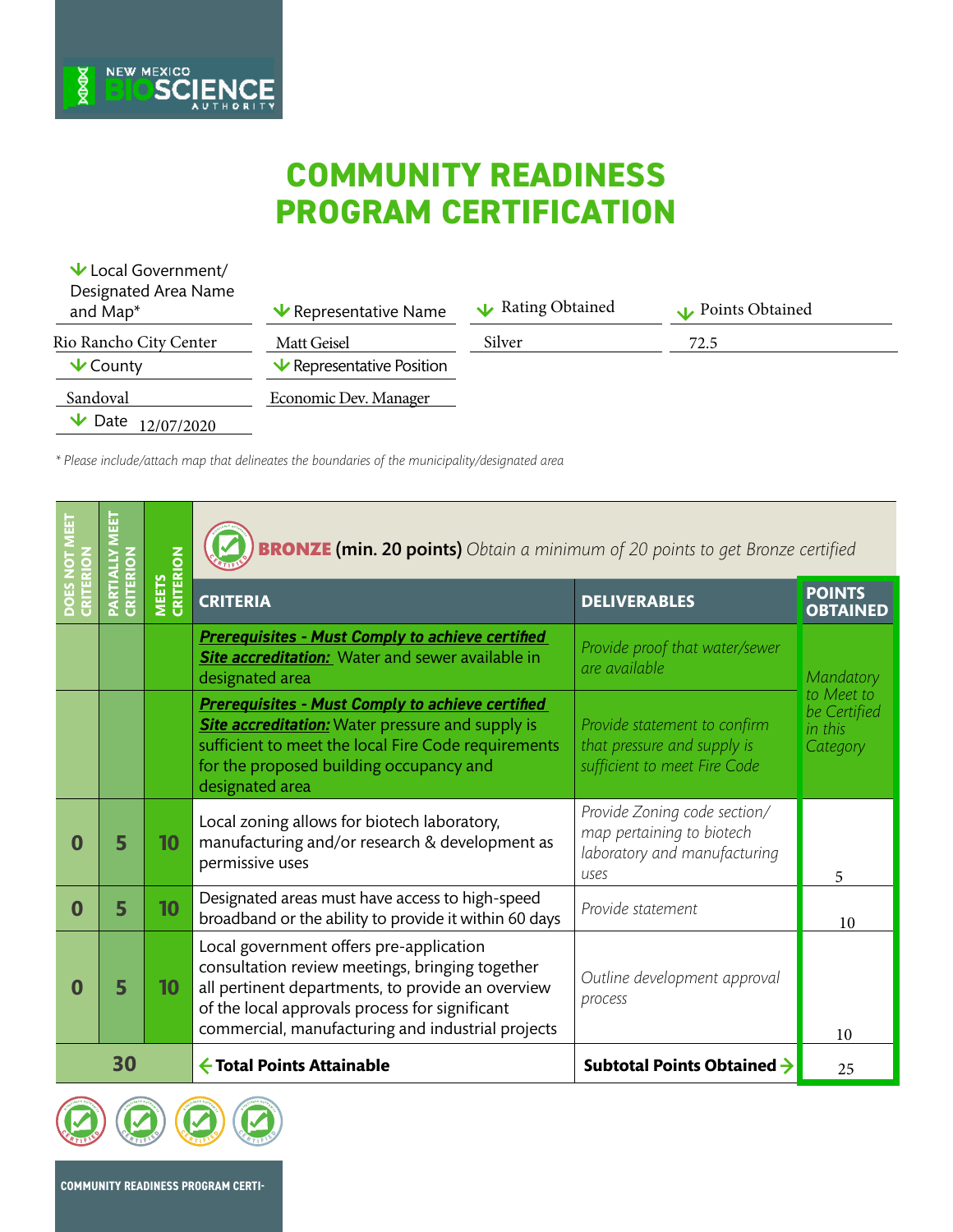## **COMMUNITY READINESS PROGRAM CERTIFICATION**

| $\vee$ Local Government/<br>Designated Area Name<br>and Map* | $\vee$ Representative Name     | Rating Obtained | Points Obtained |  |
|--------------------------------------------------------------|--------------------------------|-----------------|-----------------|--|
| Rio Rancho City Center                                       | Matt Geisel                    | Silver          | 72.5            |  |
| $\vee$ County                                                | $\vee$ Representative Position |                 |                 |  |
| Sandoval                                                     | Economic Dev. Manager          |                 |                 |  |
| $\vee$ Date<br>12/07/2020                                    |                                |                 |                 |  |

*\* Please include/attach map that delineates the boundaries of the municipality/designated area*

**BIOSCIENCE** 

**ROOK** 

|          | CRITERION | <b>MEETS<br/>CRITERION</b> | <b>BRONZE (min. 20 points)</b> Obtain a minimum of 20 points to get Bronze certified                                                                                                                                                                   |                                                                                                   |                                                   |
|----------|-----------|----------------------------|--------------------------------------------------------------------------------------------------------------------------------------------------------------------------------------------------------------------------------------------------------|---------------------------------------------------------------------------------------------------|---------------------------------------------------|
|          |           |                            | <b>CRITERIA</b>                                                                                                                                                                                                                                        | <b>DELIVERABLES</b>                                                                               | <b>POINTS</b><br><b>OBTAINED</b>                  |
|          |           |                            | <b>Prerequisites - Must Comply to achieve certified</b><br><b>Site accreditation:</b> Water and sewer available in<br>designated area                                                                                                                  | Provide proof that water/sewer<br>are available                                                   | Mandatory                                         |
|          |           |                            | <b>Prerequisites - Must Comply to achieve certified</b><br><b>Site accreditation:</b> Water pressure and supply is<br>sufficient to meet the local Fire Code requirements<br>for the proposed building occupancy and<br>designated area                | Provide statement to confirm<br>that pressure and supply is<br>sufficient to meet Fire Code       | to Meet to<br>be Certified<br>in this<br>Category |
| 0        | 5         | 10                         | Local zoning allows for biotech laboratory,<br>manufacturing and/or research & development as<br>permissive uses                                                                                                                                       | Provide Zoning code section/<br>map pertaining to biotech<br>laboratory and manufacturing<br>uses | 5                                                 |
| $\bf{0}$ | 5         | 10                         | Designated areas must have access to high-speed<br>broadband or the ability to provide it within 60 days                                                                                                                                               | Provide statement                                                                                 | 10                                                |
| 0        | 5         | 10                         | Local government offers pre-application<br>consultation review meetings, bringing together<br>all pertinent departments, to provide an overview<br>of the local approvals process for significant<br>commercial, manufacturing and industrial projects | Outline development approval<br>process                                                           | 10                                                |
| 30       |           |                            | ← Total Points Attainable                                                                                                                                                                                                                              | Subtotal Points Obtained $\rightarrow$                                                            | 25                                                |

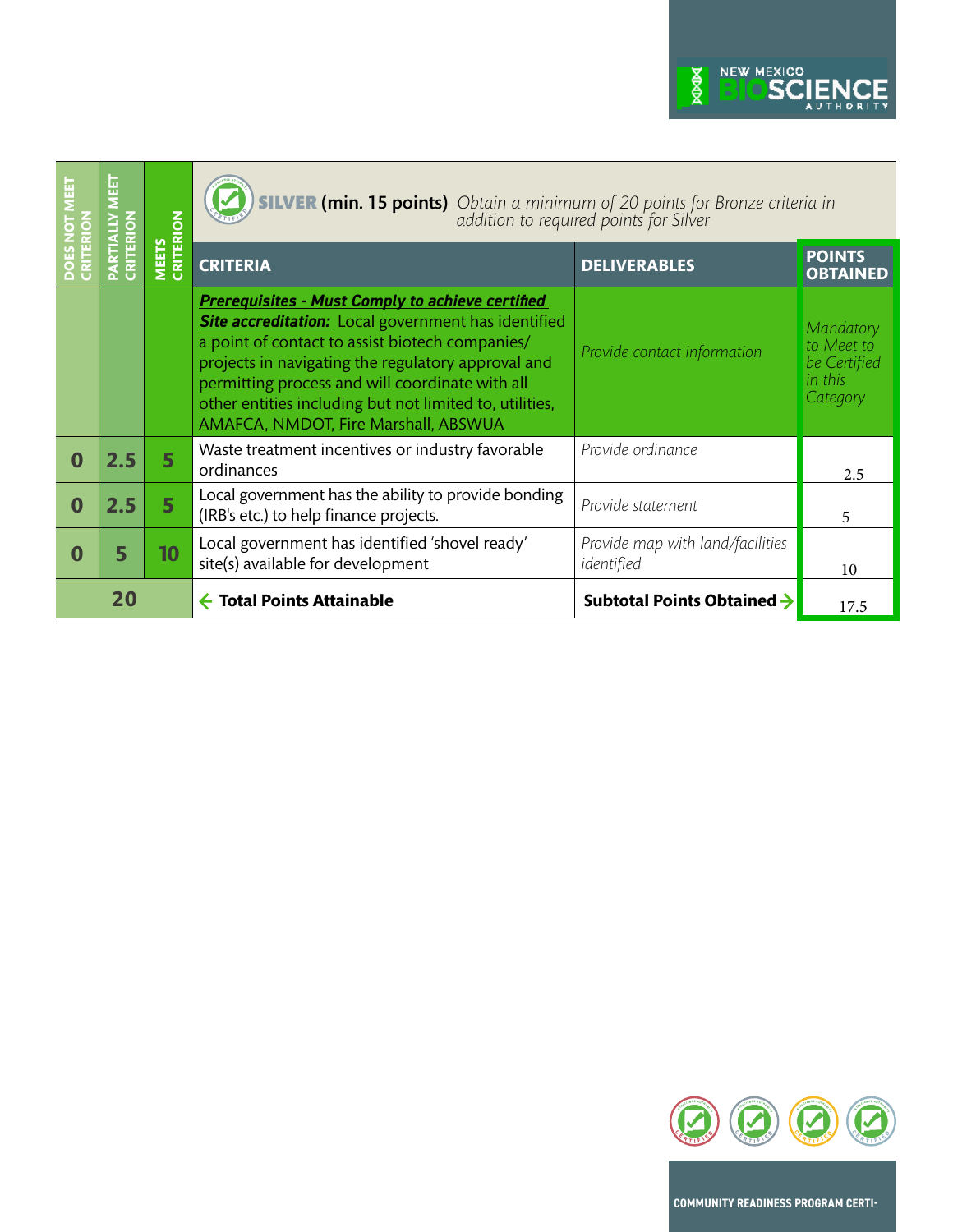

|          |     | <b>CRITERION</b><br><b>MEETS</b> | <b>VER (min. 15 points)</b> Obtain a minimum of 20 points for Bronze criteria in addition to required points for Silver                                                                                                                                                                                                                                                              |                                                |                                                                |
|----------|-----|----------------------------------|--------------------------------------------------------------------------------------------------------------------------------------------------------------------------------------------------------------------------------------------------------------------------------------------------------------------------------------------------------------------------------------|------------------------------------------------|----------------------------------------------------------------|
|          |     |                                  | <b>CRITERIA</b>                                                                                                                                                                                                                                                                                                                                                                      | <b>DELIVERABLES</b>                            | <b>POINTS</b><br><b>OBTAINED</b>                               |
|          |     |                                  | <b>Prerequisites - Must Comply to achieve certified</b><br><b>Site accreditation:</b> Local government has identified<br>a point of contact to assist biotech companies/<br>projects in navigating the regulatory approval and<br>permitting process and will coordinate with all<br>other entities including but not limited to, utilities,<br>AMAFCA, NMDOT, Fire Marshall, ABSWUA | Provide contact information                    | Mandatory<br>to Meet to<br>be Certified<br>in this<br>Category |
| $\Omega$ | 2.5 | 5                                | Waste treatment incentives or industry favorable<br>ordinances                                                                                                                                                                                                                                                                                                                       | Provide ordinance                              | 2.5                                                            |
| $\Omega$ | 2.5 | 5                                | Local government has the ability to provide bonding<br>(IRB's etc.) to help finance projects.                                                                                                                                                                                                                                                                                        | Provide statement                              | 5                                                              |
| 0        | 5   | 10                               | Local government has identified 'shovel ready'<br>site(s) available for development                                                                                                                                                                                                                                                                                                  | Provide map with land/facilities<br>identified | 10                                                             |
| 20       |     |                                  | <b>Total Points Attainable</b>                                                                                                                                                                                                                                                                                                                                                       | Subtotal Points Obtained $\rightarrow$         | 17.5                                                           |



**COMMUNITY READINESS PROGRAM CERTI-**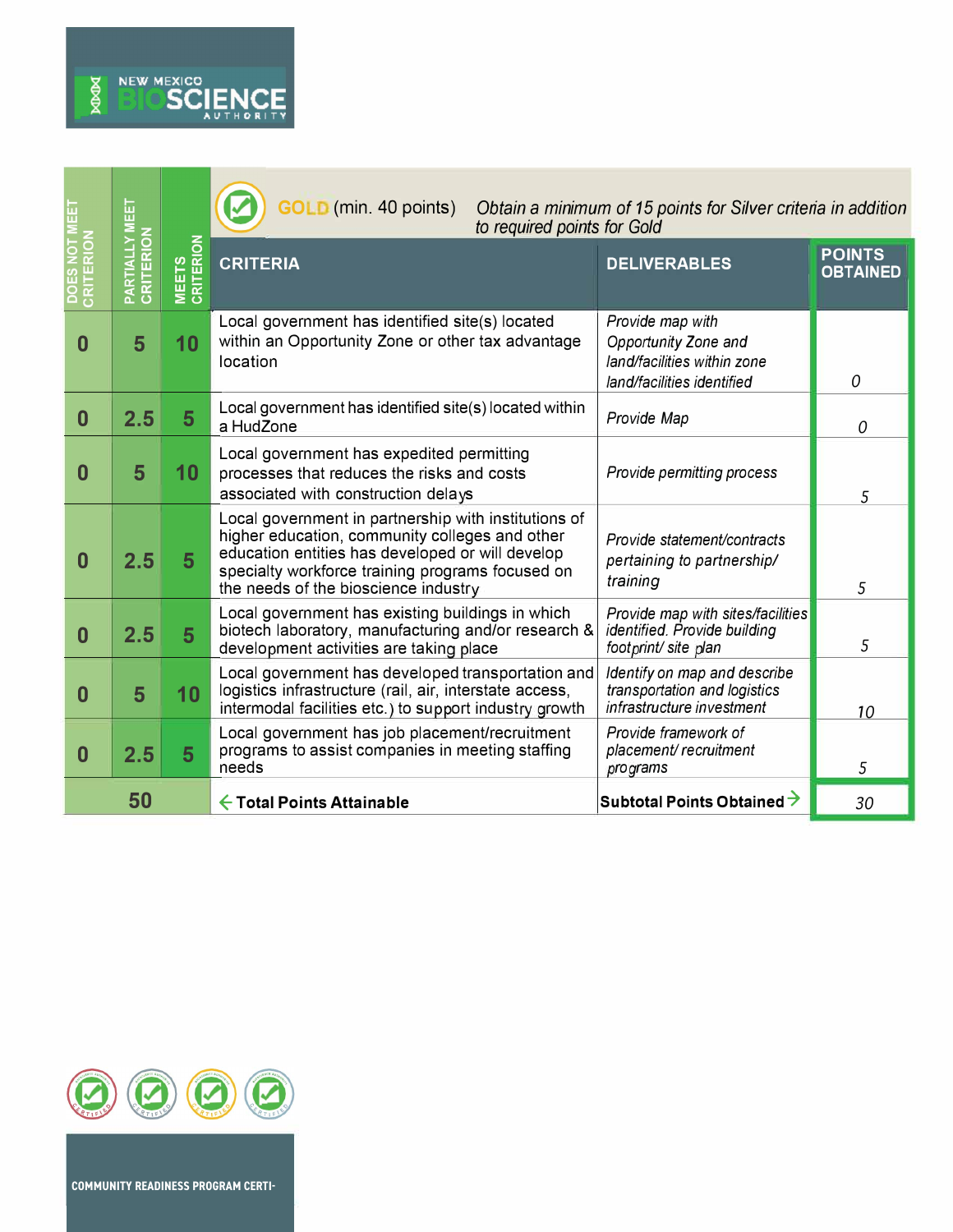

and the state of the state of the

|                                            | 핊<br>Σ                           |                            | <b>GOLD</b> (min. 40 points)<br>Obtain a minimum of 15 points for Silver criteria in addition<br>to required points for Gold                                                                                                                           |                                                                                                       |                                  |
|--------------------------------------------|----------------------------------|----------------------------|--------------------------------------------------------------------------------------------------------------------------------------------------------------------------------------------------------------------------------------------------------|-------------------------------------------------------------------------------------------------------|----------------------------------|
| CRITERION<br>ş<br>$\overline{a}$           | <b>PARTIALLY MI</b><br>CRITERION | <b>MEETS<br/>CRITERION</b> | <b>CRITERIA</b>                                                                                                                                                                                                                                        | <b>DELIVERABLES</b>                                                                                   | <b>POINTS</b><br><b>OBTAINED</b> |
| 0                                          | 5                                | 10                         | Local government has identified site(s) located<br>within an Opportunity Zone or other tax advantage<br>location                                                                                                                                       | Provide map with<br>Opportunity Zone and<br>land/facilities within zone<br>land/facilities identified | 0                                |
| $\bf{0}$                                   | 2.5                              | 5                          | Local government has identified site(s) located within<br>a HudZone                                                                                                                                                                                    | Provide Map                                                                                           | 0                                |
| $\bf{0}$                                   | 5                                | 10                         | Local government has expedited permitting<br>processes that reduces the risks and costs<br>associated with construction delays                                                                                                                         | Provide permitting process                                                                            | 5                                |
| $\bf{0}$                                   | 2.5                              | 5                          | Local government in partnership with institutions of<br>higher education, community colleges and other<br>education entities has developed or will develop<br>specialty workforce training programs focused on<br>the needs of the bioscience industry | Provide statement/contracts<br>pertaining to partnership/<br>training                                 | 5                                |
| $\bf{0}$                                   | 2.5                              | 5                          | Local government has existing buildings in which<br>biotech laboratory, manufacturing and/or research &<br>development activities are taking place                                                                                                     | Provide map with sites/facilities<br>identified. Provide building<br>footprint/ site plan             | 5                                |
| $\bf{0}$                                   | 5                                | 10 <sub>1</sub>            | Local government has developed transportation and<br>logistics infrastructure (rail, air, interstate access,<br>intermodal facilities etc.) to support industry growth                                                                                 | Identify on map and describe<br>transportation and logistics<br>infrastructure investment             | 10                               |
| 0                                          | 2.5                              | 5                          | Local government has job placement/recruitment<br>programs to assist companies in meeting staffing<br>needs                                                                                                                                            | Provide framework of<br>placement/recruitment<br>programs                                             | 5                                |
| 50<br>$\leftarrow$ Total Points Attainable |                                  |                            | Subtotal Points Obtained $\rightarrow$                                                                                                                                                                                                                 | 30                                                                                                    |                                  |



**COMMUNITY READINESS PROGRAM CERTI-**